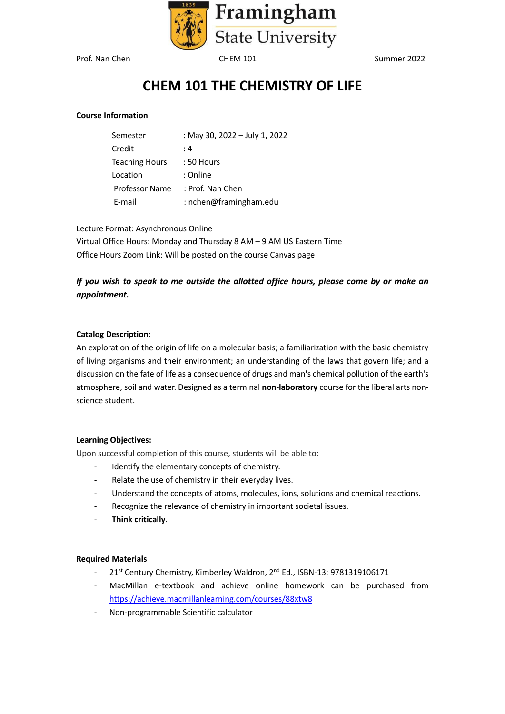

# **CHEM 101 THE CHEMISTRY OF LIFE**

#### **Course Information**

| Semester              | : May 30, 2022 - July 1, 2022 |
|-----------------------|-------------------------------|
| Credit                | : 4                           |
| <b>Teaching Hours</b> | : 50 Hours                    |
| Location              | : Online                      |
| Professor Name        | : Prof. Nan Chen              |
| E-mail                | : nchen@framingham.edu        |

Lecture Format: Asynchronous Online

Virtual Office Hours: Monday and Thursday 8 AM – 9 AM US Eastern Time Office Hours Zoom Link: Will be posted on the course Canvas page

# *If you wish to speak to me outside the allotted office hours, please come by or make an appointment.*

#### **Catalog Description:**

An exploration of the origin of life on a molecular basis; a familiarization with the basic chemistry of living organisms and their environment; an understanding of the laws that govern life; and a discussion on the fate of life as a consequence of drugs and man's chemical pollution of the earth's atmosphere, soil and water. Designed as a terminal **non-laboratory** course for the liberal arts nonscience student.

#### **Learning Objectives:**

Upon successful completion of this course, students will be able to:

- Identify the elementary concepts of chemistry.
- Relate the use of chemistry in their everyday lives.
- Understand the concepts of atoms, molecules, ions, solutions and chemical reactions.
- Recognize the relevance of chemistry in important societal issues.
- **Think critically**.

#### **Required Materials**

- 21<sup>st</sup> Century Chemistry, Kimberley Waldron, 2<sup>nd</sup> Ed., ISBN-13: 9781319106171
- MacMillan e-textbook and achieve online homework can be purchased from <https://achieve.macmillanlearning.com/courses/88xtw8>
- Non-programmable Scientific calculator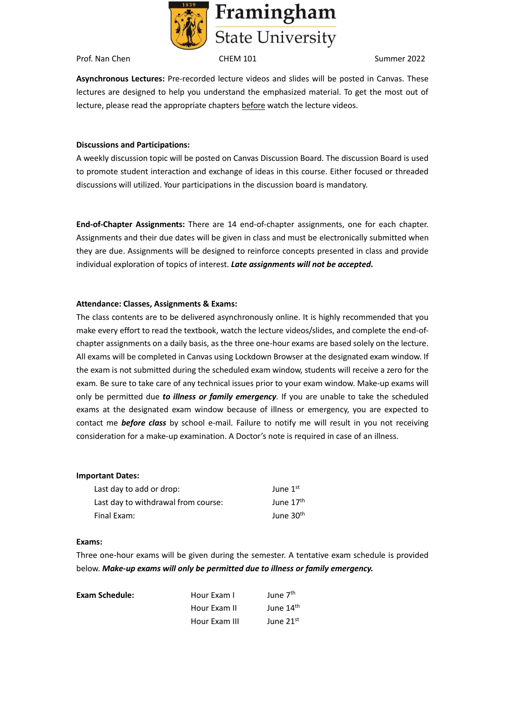

**Asynchronous Lectures:** Pre-recorded lecture videos and slides will be posted in Canvas. These lectures are designed to help you understand the emphasized material. To get the most out of lecture, please read the appropriate chapters before watch the lecture videos.

#### **Discussions and Participations:**

A weekly discussion topic will be posted on Canvas Discussion Board. The discussion Board is used to promote student interaction and exchange of ideas in this course. Either focused or threaded discussions will utilized. Your participations in the discussion board is mandatory.

**End-of-Chapter Assignments:** There are 14 end-of-chapter assignments, one for each chapter. Assignments and their due dates will be given in class and must be electronically submitted when they are due. Assignments will be designed to reinforce concepts presented in class and provide individual exploration of topics of interest. *Late assignments will not be accepted***.**

## **Attendance: Classes, Assignments & Exams:**

The class contents are to be delivered asynchronously online. It is highly recommended that you make every effort to read the textbook, watch the lecture videos/slides, and complete the end-ofchapter assignments on a daily basis, as the three one-hour exams are based solely on the lecture. All exams will be completed in Canvas using Lockdown Browser at the designated exam window. If the exam is not submitted during the scheduled exam window, students will receive a zero for the exam. Be sure to take care of any technical issues prior to your exam window. Make-up exams will only be permitted due *to illness or family emergency.* If you are unable to take the scheduled exams at the designated exam window because of illness or emergency, you are expected to contact me *before class* by school e-mail. Failure to notify me will result in you not receiving consideration for a make-up examination. A Doctor's note is required in case of an illness.

#### **Important Dates:**

| Last day to add or drop:            | June $1st$            |
|-------------------------------------|-----------------------|
| Last day to withdrawal from course: | June 17 <sup>th</sup> |
| Final Exam:                         | June 30 <sup>th</sup> |

#### **Exams:**

Three one-hour exams will be given during the semester. A tentative exam schedule is provided below. *Make-up exams will only be permitted due to illness or family emergency.*

| Exam Schedule: | Hour Exam I   | June 7 <sup>th</sup>  |
|----------------|---------------|-----------------------|
|                | Hour Exam II  | June 14 <sup>th</sup> |
|                | Hour Exam III | June 21st             |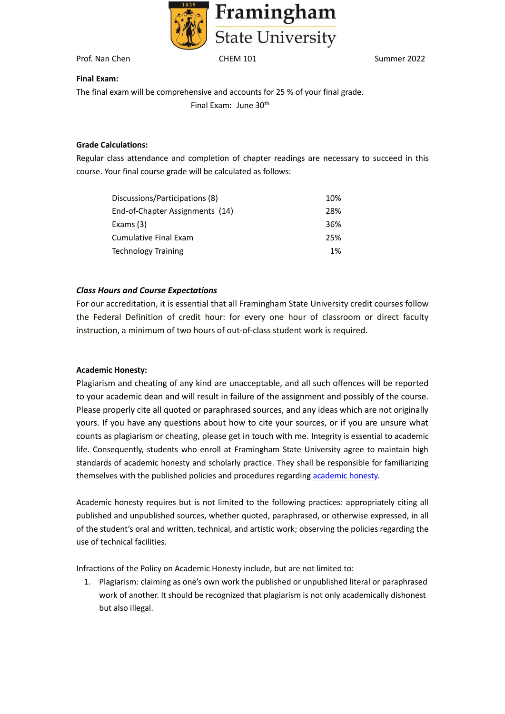

## **Final Exam:**

The final exam will be comprehensive and accounts for 25 % of your final grade. Final Exam: June 30th

## **Grade Calculations:**

Regular class attendance and completion of chapter readings are necessary to succeed in this course. Your final course grade will be calculated as follows:

| Discussions/Participations (8)  | 10% |
|---------------------------------|-----|
| End-of-Chapter Assignments (14) | 28% |
| Exams (3)                       | 36% |
| Cumulative Final Exam           | 25% |
| Technology Training             | 1%  |

## *Class Hours and Course Expectations*

For our accreditation, it is essential that all Framingham State University credit courses follow the Federal Definition of credit hour: for every one hour of classroom or direct faculty instruction, a minimum of two hours of out-of-class student work is required.

## **Academic Honesty:**

Plagiarism and cheating of any kind are unacceptable, and all such offences will be reported to your academic dean and will result in failure of the assignment and possibly of the course. Please properly cite all quoted or paraphrased sources, and any ideas which are not originally yours. If you have any questions about how to cite your sources, or if you are unsure what counts as plagiarism or cheating, please get in touch with me. Integrity is essential to academic life. Consequently, students who enroll at Framingham State University agree to maintain high standards of academic honesty and scholarly practice. They shall be responsible for familiarizing themselves with the published policies and procedures regarding [academic honesty.](https://www.framingham.edu/student-life/student-affairs/policies-and-procedues/academic-honesty-policy/index)

Academic honesty requires but is not limited to the following practices: appropriately citing all published and unpublished sources, whether quoted, paraphrased, or otherwise expressed, in all of the student's oral and written, technical, and artistic work; observing the policies regarding the use of technical facilities.

Infractions of the Policy on Academic Honesty include, but are not limited to:

1. Plagiarism: claiming as one's own work the published or unpublished literal or paraphrased work of another. It should be recognized that plagiarism is not only academically dishonest but also illegal.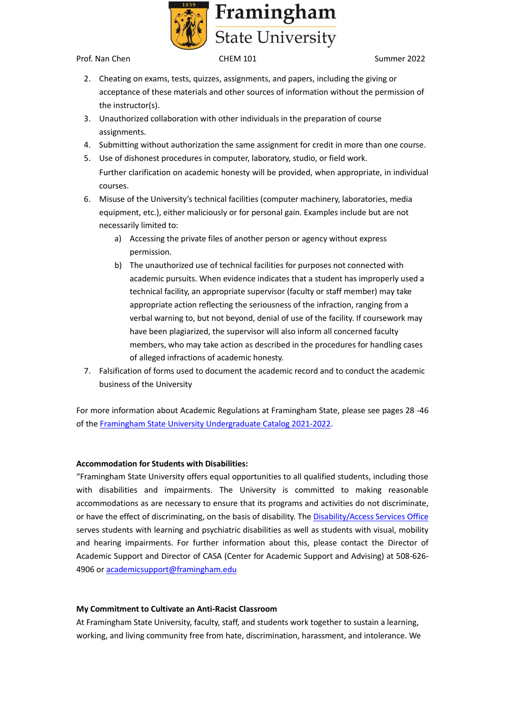

- 2. Cheating on exams, tests, quizzes, assignments, and papers, including the giving or acceptance of these materials and other sources of information without the permission of the instructor(s).
- 3. Unauthorized collaboration with other individuals in the preparation of course assignments.
- 4. Submitting without authorization the same assignment for credit in more than one course.
- 5. Use of dishonest procedures in computer, laboratory, studio, or field work. Further clarification on academic honesty will be provided, when appropriate, in individual courses.
- 6. Misuse of the University's technical facilities (computer machinery, laboratories, media equipment, etc.), either maliciously or for personal gain. Examples include but are not necessarily limited to:
	- a) Accessing the private files of another person or agency without express permission.
	- b) The unauthorized use of technical facilities for purposes not connected with academic pursuits. When evidence indicates that a student has improperly used a technical facility, an appropriate supervisor (faculty or staff member) may take appropriate action reflecting the seriousness of the infraction, ranging from a verbal warning to, but not beyond, denial of use of the facility. If coursework may have been plagiarized, the supervisor will also inform all concerned faculty members, who may take action as described in the procedures for handling cases of alleged infractions of academic honesty.
- 7. Falsification of forms used to document the academic record and to conduct the academic business of the University

For more information about Academic Regulations at Framingham State, please see pages 28 -46 of the [Framingham State University Undergraduate Catalog 2021-2022.](https://www.framingham.edu/Assets/uploads/academics/catalogs/_documents/undergraduate-catalogs/2021-2022-undergraduate-catalog/undergraduate-catalog-2021-2022.pdf)

## **Accommodation for Students with Disabilities:**

"Framingham State University offers equal opportunities to all qualified students, including those with disabilities and impairments. The University is committed to making reasonable accommodations as are necessary to ensure that its programs and activities do not discriminate, or have the effect of discriminating, on the basis of disability. Th[e Disability/Access Services Office](https://www.framingham.edu/academics/center-for-academic-success-and-achievement/disability-access-services/index) serves students with learning and psychiatric disabilities as well as students with visual, mobility and hearing impairments. For further information about this, please contact the Director of Academic Support and Director of CASA (Center for Academic Support and Advising) at 508-626- 4906 or academicsupport@framingham.edu

## **My Commitment to Cultivate an Anti-Racist Classroom**

At Framingham State University, faculty, staff, and students work together to sustain a learning, working, and living community free from hate, discrimination, harassment, and intolerance. We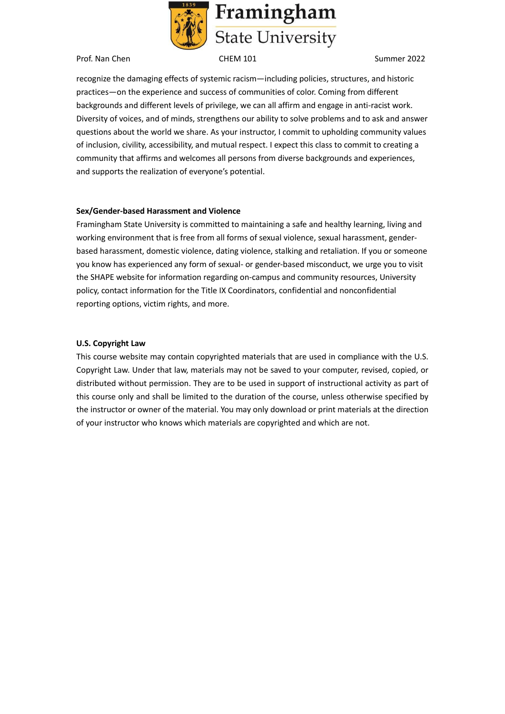

recognize the damaging effects of systemic racism—including policies, structures, and historic practices—on the experience and success of communities of color. Coming from different backgrounds and different levels of privilege, we can all affirm and engage in anti-racist work. Diversity of voices, and of minds, strengthens our ability to solve problems and to ask and answer questions about the world we share. As your instructor, I commit to upholding community values of inclusion, civility, accessibility, and mutual respect. I expect this class to commit to creating a community that affirms and welcomes all persons from diverse backgrounds and experiences, and supports the realization of everyone's potential.

## **Sex/Gender-based Harassment and Violence**

Framingham State University is committed to maintaining a safe and healthy learning, living and working environment that is free from all forms of sexual violence, sexual harassment, genderbased harassment, domestic violence, dating violence, stalking and retaliation. If you or someone you know has experienced any form of sexual- or gender-based misconduct, we urge you to visit the SHAPE website for information regarding on-campus and community resources, University policy, contact information for the Title IX Coordinators, confidential and nonconfidential reporting options, victim rights, and more.

#### **U.S. Copyright Law**

This course website may contain copyrighted materials that are used in compliance with the U.S. Copyright Law. Under that law, materials may not be saved to your computer, revised, copied, or distributed without permission. They are to be used in support of instructional activity as part of this course only and shall be limited to the duration of the course, unless otherwise specified by the instructor or owner of the material. You may only download or print materials at the direction of your instructor who knows which materials are copyrighted and which are not.